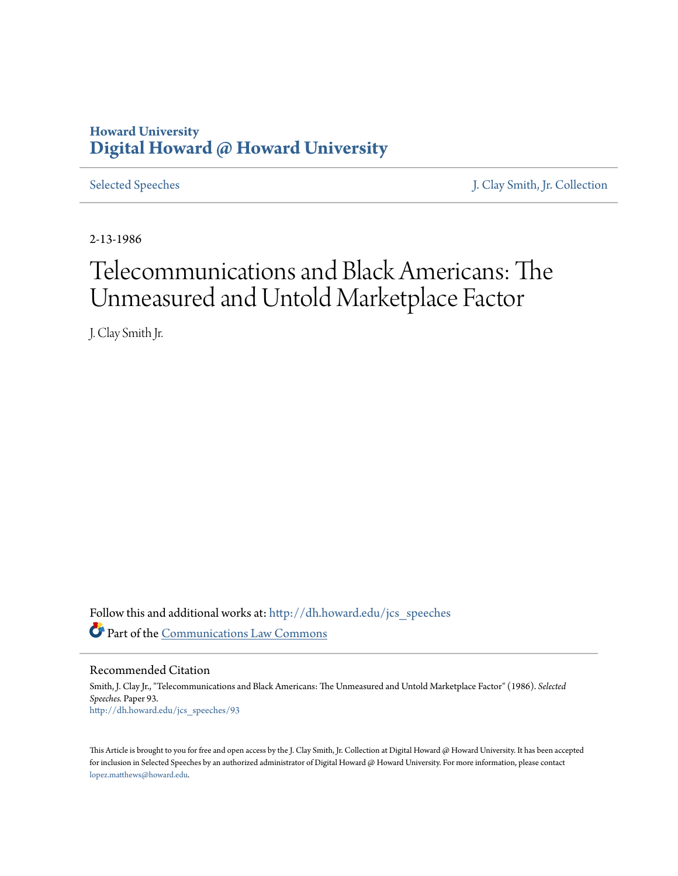# **Howard University [Digital Howard @ Howard University](http://dh.howard.edu?utm_source=dh.howard.edu%2Fjcs_speeches%2F93&utm_medium=PDF&utm_campaign=PDFCoverPages)**

[Selected Speeches](http://dh.howard.edu/jcs_speeches?utm_source=dh.howard.edu%2Fjcs_speeches%2F93&utm_medium=PDF&utm_campaign=PDFCoverPages) [J. Clay Smith, Jr. Collection](http://dh.howard.edu/jcsmith?utm_source=dh.howard.edu%2Fjcs_speeches%2F93&utm_medium=PDF&utm_campaign=PDFCoverPages)

2-13-1986

# Telecommunications and Black Americans: The Unmeasured and Untold Marketplace Factor

J. Clay Smith Jr.

Follow this and additional works at: [http://dh.howard.edu/jcs\\_speeches](http://dh.howard.edu/jcs_speeches?utm_source=dh.howard.edu%2Fjcs_speeches%2F93&utm_medium=PDF&utm_campaign=PDFCoverPages) Part of the [Communications Law Commons](http://network.bepress.com/hgg/discipline/587?utm_source=dh.howard.edu%2Fjcs_speeches%2F93&utm_medium=PDF&utm_campaign=PDFCoverPages)

Recommended Citation

Smith, J. Clay Jr., "Telecommunications and Black Americans: The Unmeasured and Untold Marketplace Factor" (1986). *Selected Speeches.* Paper 93. [http://dh.howard.edu/jcs\\_speeches/93](http://dh.howard.edu/jcs_speeches/93?utm_source=dh.howard.edu%2Fjcs_speeches%2F93&utm_medium=PDF&utm_campaign=PDFCoverPages)

This Article is brought to you for free and open access by the J. Clay Smith, Jr. Collection at Digital Howard @ Howard University. It has been accepted for inclusion in Selected Speeches by an authorized administrator of Digital Howard @ Howard University. For more information, please contact [lopez.matthews@howard.edu.](mailto:lopez.matthews@howard.edu)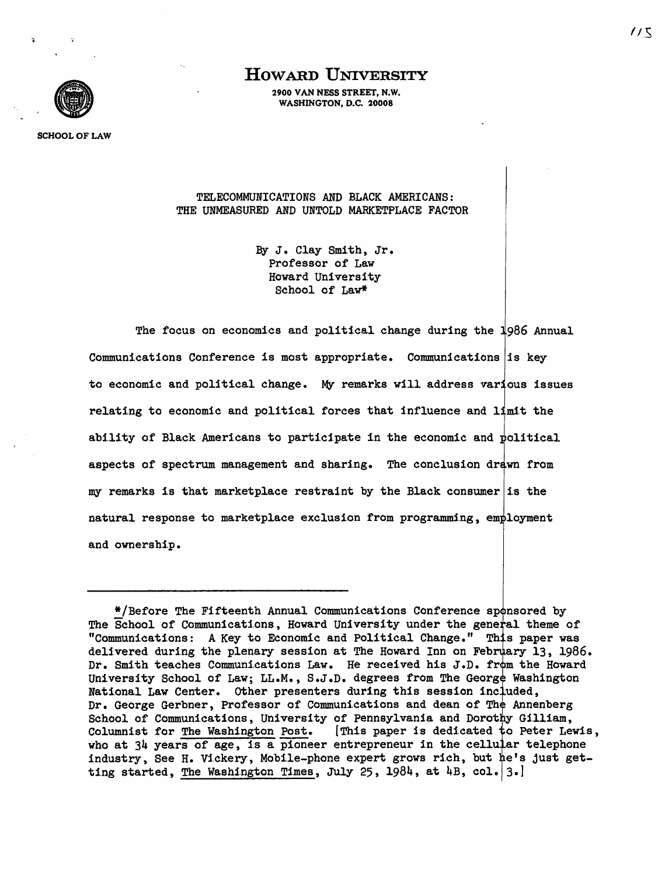

2900 VAN NESS STREET, N.W. WASHINGTON, D.C. 20008



SCHOOL OF LAW

TELECOMMUNICATIONS AND BLACK AMERICANS: THE UNMEASURED AND UNTOLD MARKETPLACE FACTOR

> By J. Clay Smith, Jr. Professor of Law Howard University School of Law\*

The focus on economics and political change during the 1986 Annual Communications Conference is most appropriate. Communications is key to economic and political change. My remarks will address various issues relating to economic and political forces that influence and limit the ability of Black Americans to participate in the economic and political aspects of spectrum management and sharing. The conclusion drawn from my remarks is that marketplace restraint by the Black consumer is the natural response to marketplace exclusion from programming, employment and ownership.

<sup>\*/</sup>Before The Fifteenth Annual Communications Conference sponsored by The School of Communications, Howard University under the general theme of "Communications: A Key to Economic and Political Change." This paper was delivered during the plenary session at The Howard Inn on February 13, 1986. Dr. Smith teaches Communications Law. He received his J.D. from the Howard University School of Law; LL.M., S.J.D. degrees from The George Washington National Law Center. Other presenters during this session included, Dr. George Gerbner, Professor of Communications and dean of The Annenberg School of Communications, University of Pennsylvania and Dorothy Gilliam, Columnist for The Washington Post. [This paper is dedicated to Peter Lewis, who at  $34$  years of age, is a pioneer entrepreneur in the cellular telephone industry, See H. Vickery, Mobile-phone expert grows rich, but he's just getting started, The Washington Times, July 25, 1984, at 4B, col.  $3.1$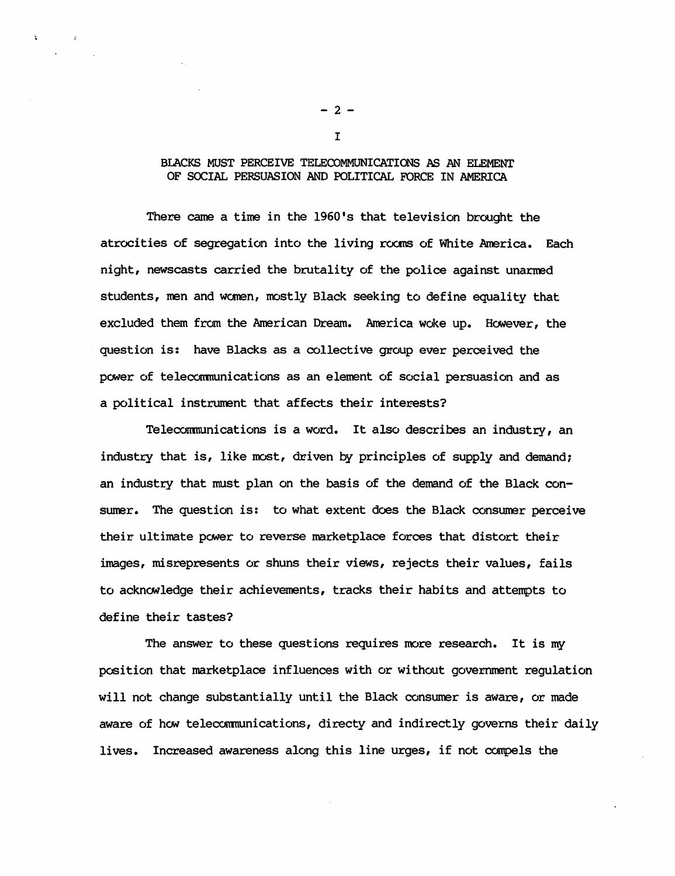### BLACKS MUST PERCEIVE TELECOMMUNICATIONS AS AN ELEMENT OF SOCIAL PERSUASION AND POLITICAL FORCE IN AMERICA

There came a time in the 1960's that television brought the atrocities of segregation into the living rooms of White America. Each night, newscasts carried the brutality of the police against unarmed students, men and women, mostly Black seeking to define equality that excluded them from the American Dream. America woke up. However, the question is: have Blacks as a collective group ever perceived the power of telecommunications as an element of social persuasion and as a political instrument that affects their interests?

Teleconmunications is a word. It also describes an industry, an industry that is, like most, driven by principles of supply and demand; an industry that must plan on the basis of the demand of the Black consumer. The question is: to what extent does the Black consumer perceive their ultimate power to reverse marketplace forces that distort their images, misrepresents or shuns their views, rejects their values, fails to acknowledge their achievements, tracks their habits and attempts to define their tastes?

The answer to these questions requires more research. It is my position that marketplace influences with or without government regulation will not change substantially until the Black consumer is aware, or made aware of how telecommunications, directy and indirectly governs their daily lives. Increased awareness along this line urges, if not compels the

 $-2 -$ I

 $\mathbf{R}^{\mathbf{r}}$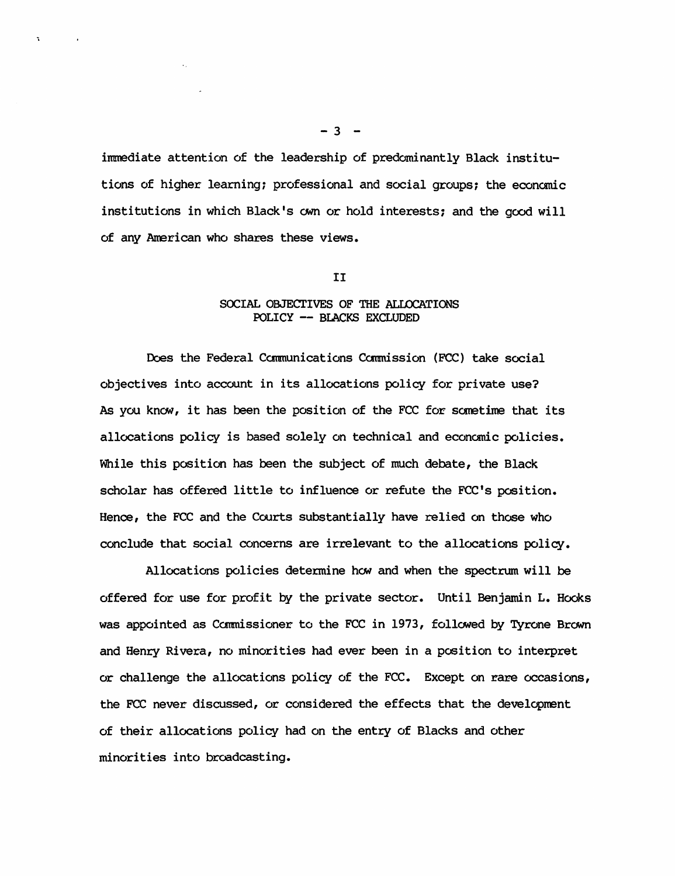immediate attention of the leadership of predominantly Black institutions of higher learning; professional and social groups; the economic institutions in which Black's own or hold interests; and the good will of any American who shares these views.

#### II

# SOCIAL OBJECTIVES OF THE ALLOCATIONS POLICY -- BLACKS EXCLUDED

Does the Federal Camnunications Camnission (FCC) take social objectives into account in its allocations policy for private use? As you know, it has been the position of the FCC for sometime that its allocations policy is based solely on technical and economic policies. While this position has been the subject of much debate, the Black scholar has offered little to influence or refute the FCC's position. Hence, the FCC and the Courts substantially have relied on those who conclude that social concerns are irrelevant to the allocations policy.

Allocations policies determine how and when the spectrum will be offered for use for profit by the private sector. Until Benjamin L. Hooks was appointed as Commissioner to the FCC in 1973, followed by Tyrone Brown and Henry Rivera, no minorities had ever been in a position to interpret or challenge the allocations policy of the FCC. Except on rare occasions, the FCC never discussed, or considered the effects that the development of their allocations policy had on the entry of Blacks and other minorities into broadcasting.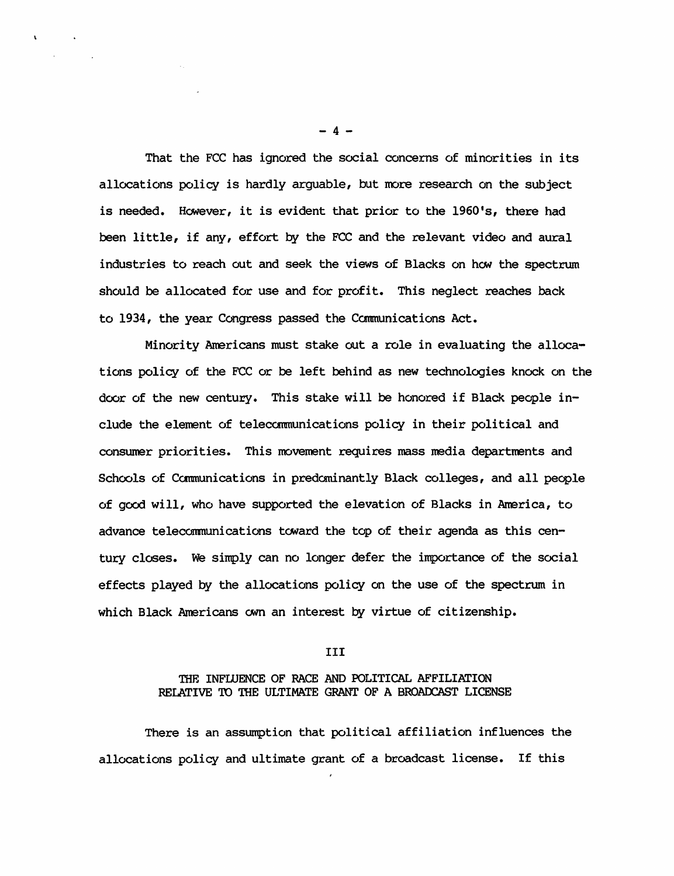That the FCC has ignored the social concerns of minorities in its allocations policy is hardly arguable, but more research on the subject is needed. However, it is evident that prior to the 1960's, there had been little, if any, effort by the FCC and the relevant video and aural industries to reach out and seek the views of Blacks on how the spectrum should be allocated for use and for profit. This neglect reaches back to 1934, the year Congress passed the Communications Act.

Minority Americans must stake out a role in evaluating the allocations policy of the FCC or be left behind as new technologies knock on the door of the new century. This stake will be honored if Black people include the element of telecommunications policy in their political and consumer priorities. This movement requires mass media departments and Schools of Communications in predominantly Black colleges, and all people of good will, who have supported the elevation of Blacks in America, to advance telecommunications toward the top of their agenda as this century closes. we simply can no longer defer the importance of the social effects played by the allocations policy on the use of the spectrum in which Black Americans own an interest by virtue of citizenship.

#### III

#### THE INFIUENCE OF RACE AND POLITICAL AFFILIATION REIATIVE TO THE ULTIMATE GRANT OF A BROAOCAST LICENSE

There is an assumption that political affiliation influences the allocations policy and ultimate grant of a broadcast license. If this

 $- 4 -$ 

 $\mathbf{r}$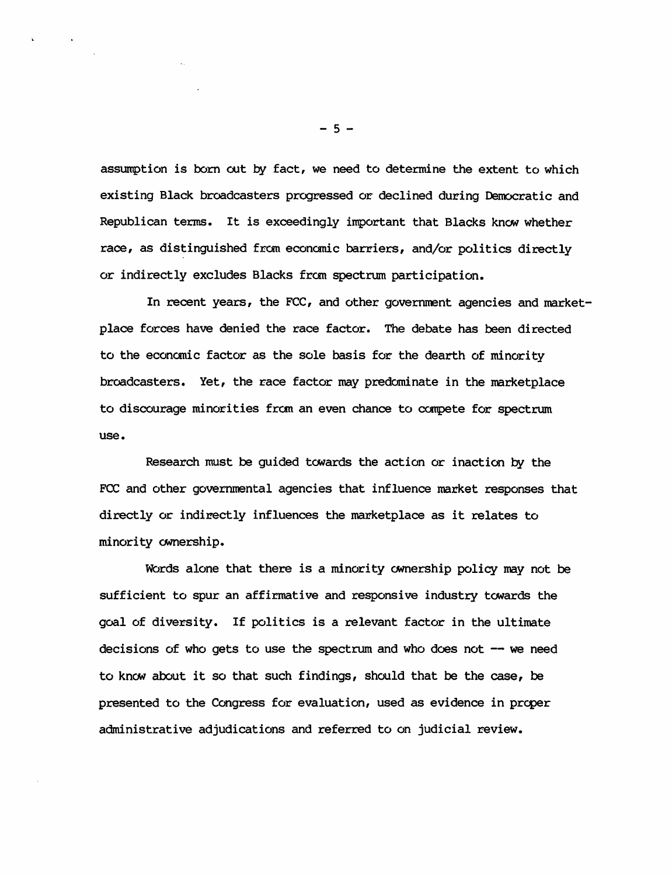assumption is born out by fact, we need to determine the extent to which existing Black broadcasters progressed or declined during Democratic and Republican terms. It is exceedingly important that Blacks know whether race, as distinguished from economic barriers, and/or politics directly or indirectly excludes Blacks from spectrum participation.

In recent years, the FCC, and other government agencies and marketplace forces have denied the race factor. The debate has been directed to the economic factor as the sole basis for the dearth of minority broadcasters. Yet, the race factor may predominate in the marketplace to discourage minorities fram an even chance to compete for spectrum use.

Research must be guided towards the action or inaction by the FCC and other governmental agencies that influence market responses that directly or indirectly influences the marketplace as it relates to minority ownership.

Words alone that there is a minority ownership policy may not be sufficient to spur an affirmative and responsive industry towards the goal of diversity. If politics is a relevant factor in the ultimate decisions of who gets to use the spectrum and who does not  $-$  we need to know about it so that such findings, should that be the case, be presented to the Congress for evaluation, used as evidence in prcper administrative adjudications and referred to on judicial review.

 $-5 -$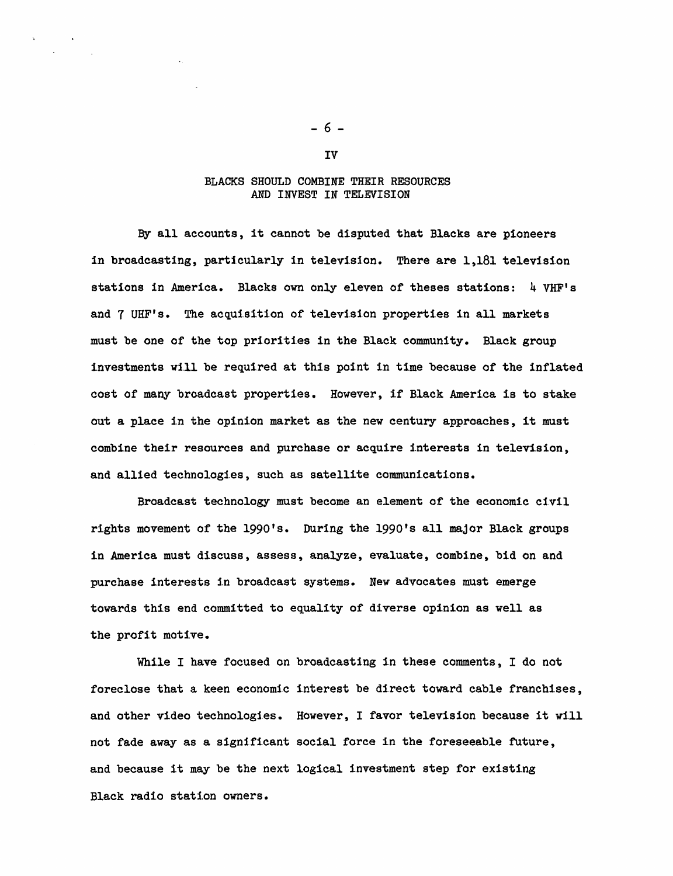#### BLACKS SHOULD COMBINE THEIR RESOURCES AND INVEST IN TELEVISION

By all accounts, it cannot be disputed that Blacks are pioneers in broadcasting, particularly in television. There are 1,181 television stations in America. Blacks own only eleven of theses stations: 4 VHF's and 7 UHF's. The acquisition of television properties in all markets must be one of the top priorities in the Black community. Black group investments will be required at this point in time because of the inflated cost of many broadcast properties. However, if Black America is to stake out a place in the opinion market as the new century approaches, it must combine their resources and purchase or acquire interests in television, and allied technologies, such as satellite communications.

Broadcast technology must become an element of the economic civil rights movement of the 1990's. During the 1990's all major Black groups in America must discuss, assess, analyze, evaluate, combine, bid on and purchase interests in broadcast systems. New advocates must emerge towards this end committed to equality of diverse opinion as well as the profit motive.

While I have focused on broadcasting in these comments, I do not foreclose that a keen economic interest be direct toward cable franchises. and other video technologies. However, I favor television because it will not fade away as a significant social force in the foreseeable future. and because it may be the next logical investment step for existing Black radio station owners.

IV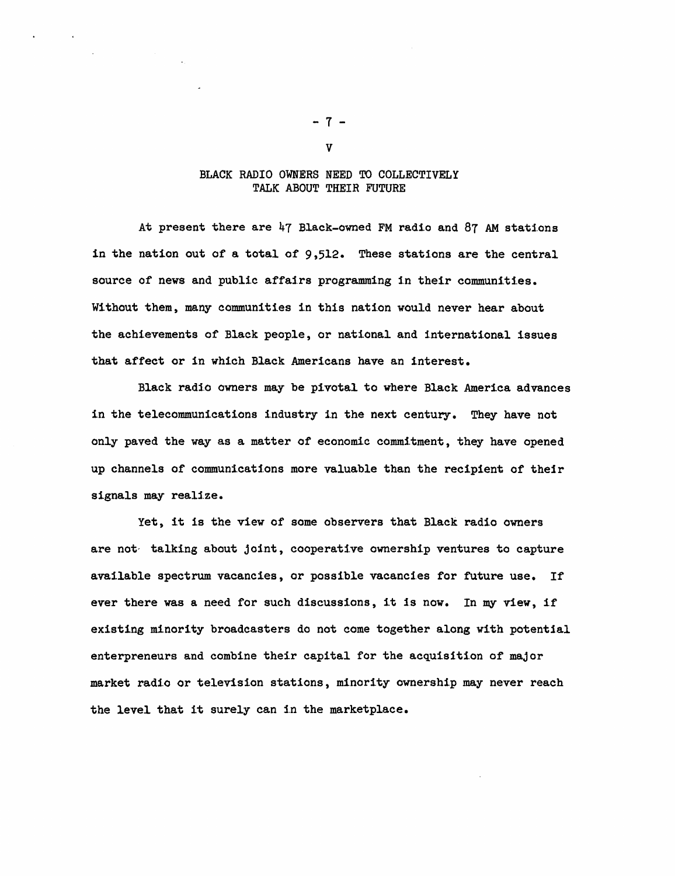#### BLACK RADIO OWNERS NEED TO COLLECTIVELY TALK ABOUT THEIR FUTURE

At present there are 47 Black-owned FM radio and 87 AM statlons in the nation out of a total of 9,512. These stations are the central source of news and public affairs programming in their communities. Without them, many communities in this nation would never hear about the achievements of Black people, or national and international issues that affect or in which Black Americans have an interest.

Black radio owners may be pivotal to where Black America advances in the telecommunications industry in the next century. They have not only paved the way as a matter of economic commitment, they have opened up channels of communications more valuable than the recipient of their signals may realize.

Yet, it is the view of some observers that Black radio owners are not-talking about joint, cooperative ownership ventures to capture available spectrum vacancies, or possible vacancies for future use. If ever there was a need for such discussions, it is now. In my view, if existing minority broadcasters do not come together along with potential enterpreneurs and combine their capital for the acquisition of major market radio or television stations, minority ownership may never reach the level that it surely can in the marketplace.

- 7 -

v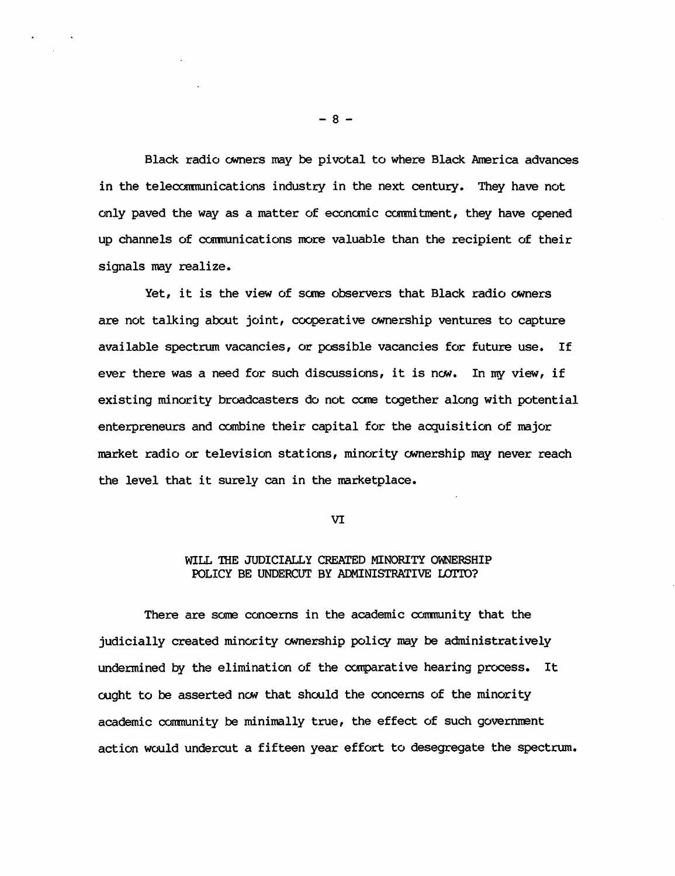Black radio owners may be pivotal to where Black America advances in the telecommunications industry in the next century. They have not only paved the way as a matter of economic commitment, they have opened up channels of communications more valuable than the recipient of their signals may realize.

Yet, it is the view of some observers that Black radio owners are not talking about joint, cooperative ownership ventures to capture available spectrum vacancies, or possible vacancies for future use. If ever there was a need for such discussions, it is now. In my view, if existing minority broadcasters do not come together along with potential enterpreneurs and oambine their capital for the acquisition of major market radio or television stations, minority ownership may never reach the level that it surely can in the marketplace.

VI

# WILL THE JUDICIALLY CREATED MINORITY OWNERSHIP POLICY BE UNDERCUT BY ADMINISTRATIVE LOTTO?

There are some concerns in the academic conmunity that the judicially created minority ownership policy may be administratively undermined by the elimination of the comparative hearing process. It ought to be asserted now that should the concerns of the minority academic community be minimally true, the effect of such government action would undercut a fifteen year effort to desegregate the spectrum.

 $- 8 -$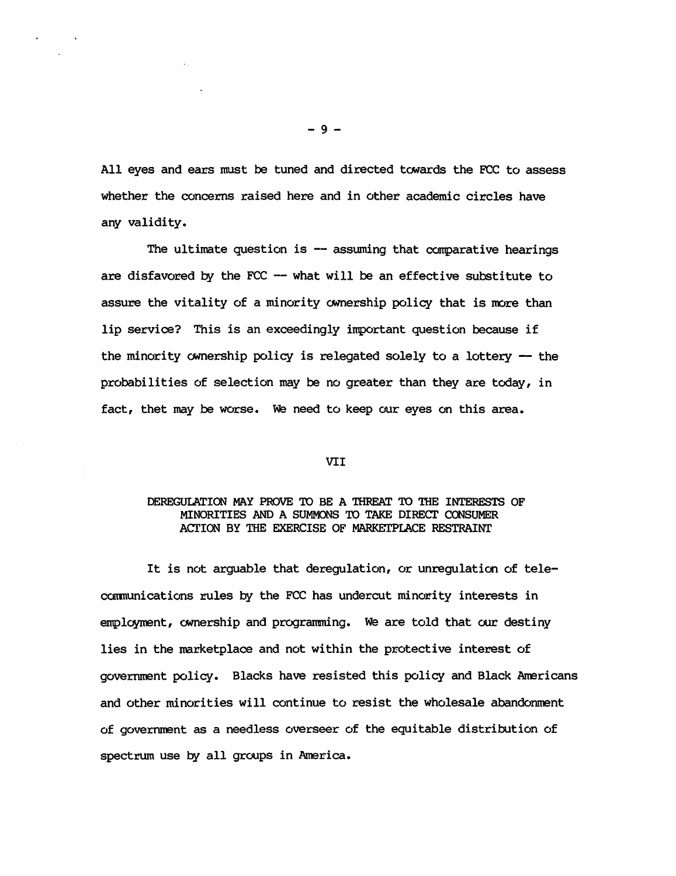All eyes and ears must be tuned and directed towards the FCC to assess whether the concerns raised here and in other academic circles have any validity.

The ultimate question is  $-$  assuming that comparative hearings are disfavored by the  $FCC$  -- what will be an effective substitute to assure the vitality of a minority ownership policy that is more than lip service? This is an exceedingly important question because if the minority ownership policy is relegated solely to a lottery  $-$  the probabilities of selection may be no greater than they are today, in fact, thet may be worse. we need to keep our eyes on this area.

#### VII

## DEREGUIATION MAY PROVE TO BE A THREAT TO THE INTERESTS OF MINORITIES AND A SUMMONS TO TAKE DIRECT CONSUMER ACTION BY THE EXERCISE OF MARKETPLACE RESTRAINT

It is not arguable that deregulation, or unregulation of telecommunications rules by the FCC has undercut minority interests in employment, ownership and programming. We are told that our destiny lies in the marketplace and not within the protective interest of government policy. Blacks have resisted this policy and Black Americans and other minorities will continue to resist the wholesale abandonment of government as a needless overseer of the equitable distribution of spectrum use by all groups in America.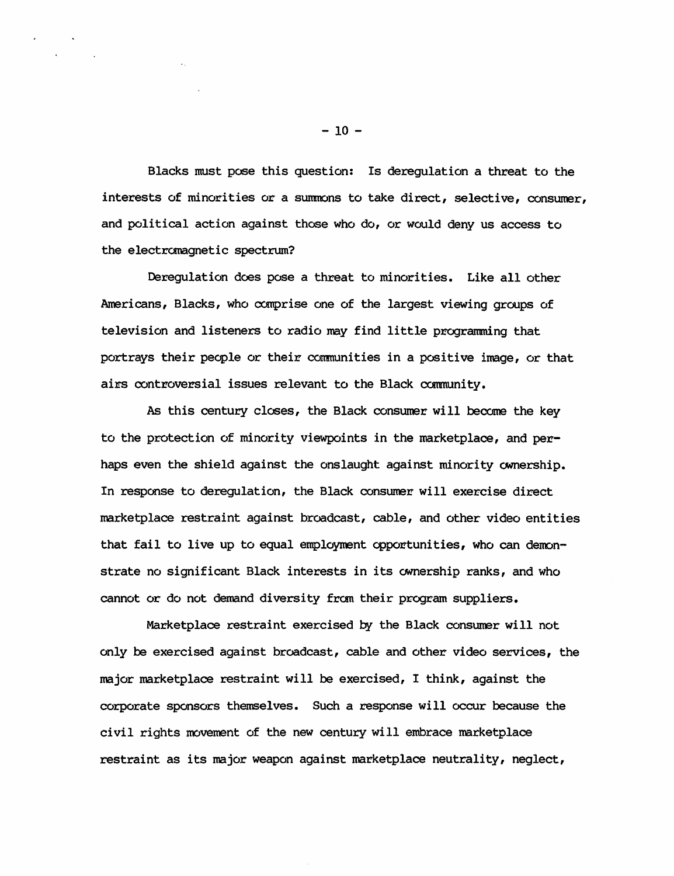Blacks must pose this question: Is deregulation a threat to the interests of minorities or a summons to take direct, selective, consumer, and political action against those who do, or would deny us access to the electromagnetic spectrum?

Deregulation does pose a threat to minorities. Like all other Americans, Blacks, who comprise one of the largest viewing groups of television and listeners to radio may find little programming that portrays their people or their communities in a positive image, or that airs controversial issues relevant to the Black community.

As this century closes, the Black consumer will become the key to the protection of minority viewpoints in the marketplace, and perhaps even the shield against the onslaught against minority ownership. In response to deregulation, the Black consumer will exercise direct marketplace restraint against broadcast, cable, and other video entities that fail to live up to equal employment opportunities, who can demonstrate no significant Black interests in its ownership ranks, and who cannot or do not demand diversity fran their program suppliers.

Marketplace restraint exercised *py* the Black consumer will not only be exercised against broadcast, cable and other video services, the major marketplace restraint will be exercised, I think, against the corporate sponsors themselves. Such a response will occur because the civil rights movement of the new century will embrace marketplace restraint as its major weapon against marketplace neutrality, neglect,

 $-10 -$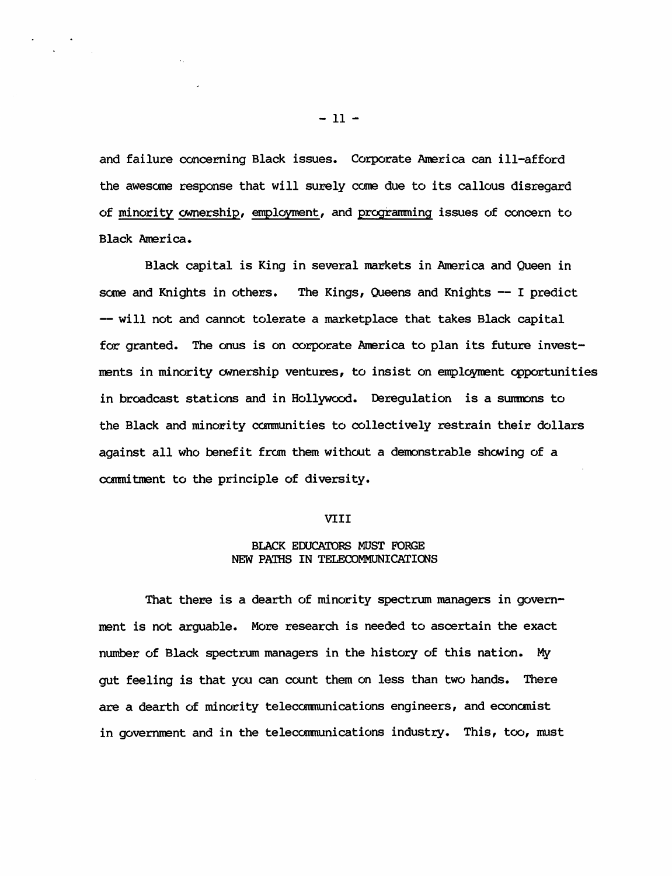and failure concerning Black issues. Corporate America can ill-afford the awesome response that will surely came due to its callous disregard of minority ownership, employment, and programming issues of concern to Black America.

Black capital is King in several markets in America and Queen in some and Knights in others. The Kings, Queens and Knights -- I predict -- will not and cannot tolerate a marketplace that takes Black capital for granted. The onus is on corporate America to plan its future investments in minority ownership ventures, to insist on employment opportunities in broadcast stations and in Hollywood. Derequlation is a summons to the Black and minority communities to collectively restrain their dollars against all who benefit from them without a demonstrable shewing of a commitment to the principle of diversity.

#### VIII

#### BLACK EDUCATORS MUST FORGE NEW PATHS IN TELECOMMUNICATIONS

That there is a dearth of minority spectrum managers in government is not arguable. More research is needed to ascertain the exact number of Black spectrum managers in the history of this nation. My gut feeling is that you can count them on less than two hands. There are a dearth of minority telecommunications engineers, and economist in government and in the telecarmunications industry. This, too, must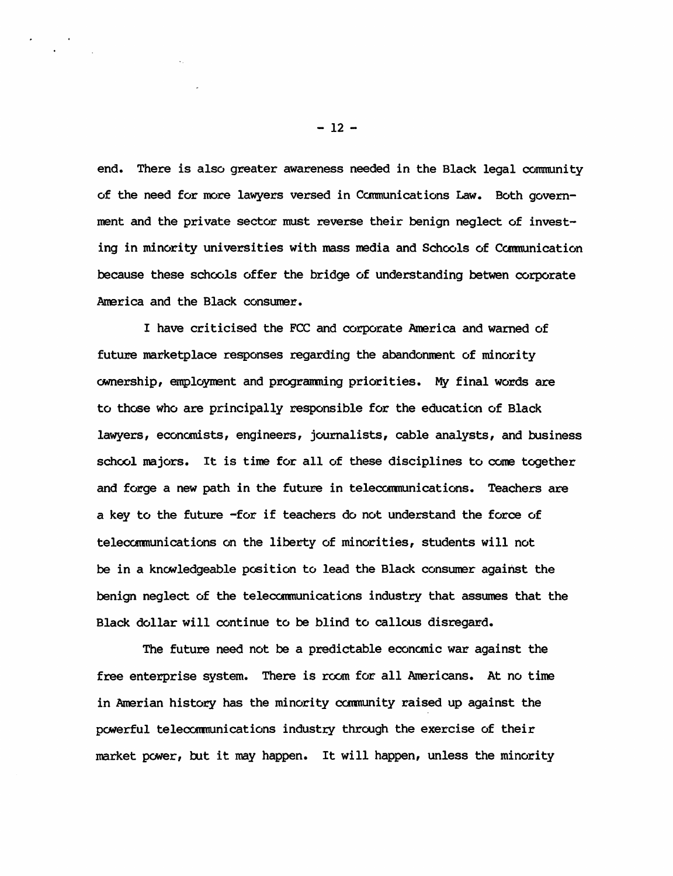end. There is also greater awareness needed in the Black legal community of the need for more lawyers versed in Ccmmunications Law. Both government and the private sector must reverse their benign neglect of investing in minority universities with mass media and Schools of Communication because these *schools* offer the bridge of understanding betwen corporate America and the Black consumer.

I have criticised the FCC and corporate America and warned of future marketplace responses regarding the abandonment of minority ownership, employment and programming priorities. My final words are to those who are principally responsible for the education of Black lawyers, economists, engineers, journalists, cable analysts, and business school majors. It is time for all of these disciplines to come together and forge a new path in the future in telecommunications. Teachers are a key to the future -for if teachers do not understand the force of telecommunications on the liberty of minorities, students will not be in a knowledgeable position to lead the Black consumer against the benign neglect of the telecammunications industry that assumes that the Black dollar will continue to be blind to callous disregard.

The future need not be a predictable economic war against the free enterprise system. There is room for all Americans. At no time in Amerian history has the minority community raised up against the powerful telecommunications industry through the exercise of their market power, but it may happen. It will happen, unless the minority

 $-12 -$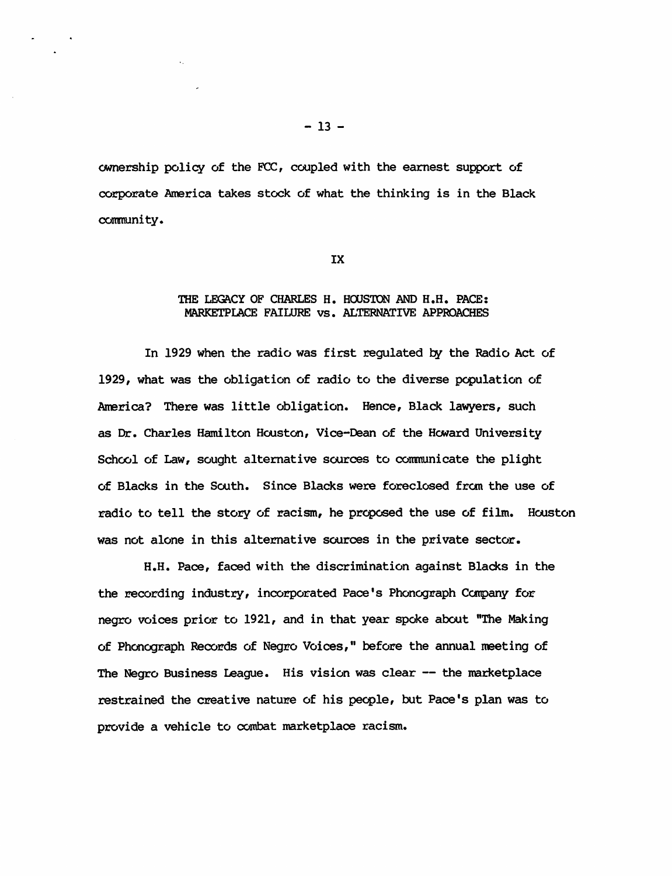CMnership policy of the FCC, coupled with the earnest support of corporate America takes stock of what the thinking is in the Black community.

IX

#### THE LEGACY OF CHARLES H. HOUSTON AND H.H. PACE: MARKETPIACE FAILURE vs. ALTERNATIVE APPROACHES

In 1929 when the radio was first regulated by the Radio Act of 1929, what was the obligation of radio to the diverse population of America? There was little obligation. Hence, Black lawyers, such as Dr. Charles Hamilton Houston, Vice-Dean of the Heward University School of Law, sought alternative sources to communicate the plight of Blacks in the South. Since Blacks were foreclosed from the use of radio to tell the story of racism, he proposed the use of film. Houston was not alone in this alternative sources in the private sector.

H.H. Pace, faced with the discrimination against Blacks in the the recording industry, incorporated Pace's Phonograph Company for negro voices prior to 1921, and in that year spoke about "The Making of Phonograph Records of Negro Voices," before the annual meeting of The Negro Business League. His vision was clear -- the marketplace restrained the creative nature of his people, but Pace's plan was to provide a vehicle to combat marketplace racism.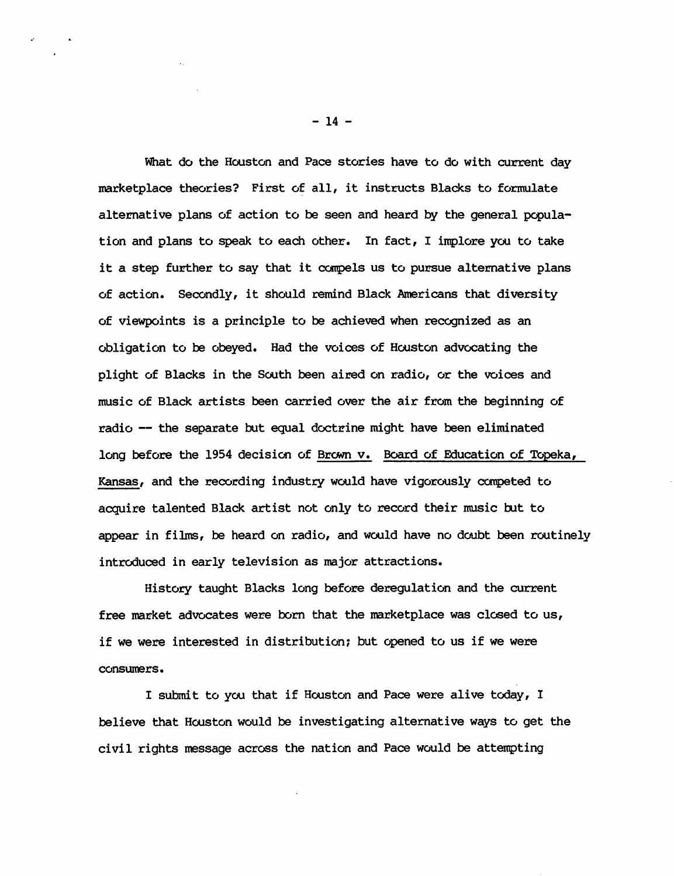What do the Houston and Pace stories have to do with current day marketplace theories? First of all, it instructs Blacks to formulate alternative plans of action to be seen and heard by the general population and plans to speak to each other. In fact, I implore you to take it a step further to say that it compels us to pursue alternative plans of action. Secondly, it should remind Black Americans that diversity of viewpoints is a principle to be achieved when recognized as an obligation to be obeyed. Had the voices of Houston advocating the plight of Blacks in the South been aired on radio, or the voices and music of Black artists been carried over the air from the beginning of radio -- the separate but equal doctrine might have been eliminated long before the 1954 decision of Brown v. Board of Education of Topeka, Kansas, and the recording industry would have vigorously campeted to acquire talented Black artist not only to record their music but to appear in films, be heard on radio, and would have no doubt been routinely introduced in early television as major attractions.

History taught Blacks long before deregulation and the current free market advocates were born that the marketplace was closed to us, if we were interested in distribution; but opened to us if we were consumers.

I submit to yoo that if Houston and Pace were alive today, I believe that Houston would be investigating alternative ways to get the civil rights message across the nation and Pace would be attempting

 $-14 -$